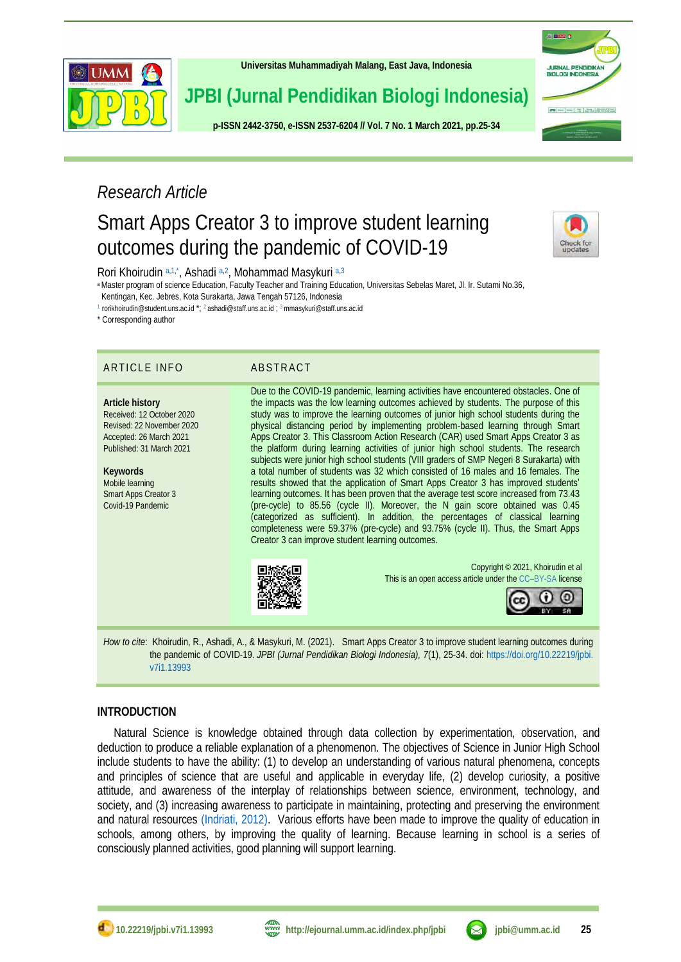

**[Universitas Muhammadiyah Malang,](http://ejournal.umm.ac.id/) East Java, Indonesia**

**JPBI (Jurnal Pendidikan Biologi Indonesia)**

**p-ISS[N 2442-3750,](http://u.lipi.go.id/1422867894) e-ISSN [2537-6204](http://u.lipi.go.id/1460300524) // Vol. 7 No. 1 March 2021, pp.25-34**

# URNAL PENDIDIKAN<br>IOLOGI INDONESIA

### *Research Article*

## Smart Apps Creator 3 to improve student learning outcomes during the pandemic of COVID-19



Rori Khoirudin [a,](#page-0-0)[1,](#page-0-1)[\\*](#page-0-2), Ashadi a,[2](#page-0-3), Mohammad Masykuri a,[3](#page-0-4)

<span id="page-0-0"></span>aMaster program of science Education, Faculty Teacher and Training Education, Universitas Sebelas Maret, Jl. Ir. Sutami No.36, Kentingan, Kec. Jebres, Kota Surakarta, Jawa Tengah 57126, Indonesia

<span id="page-0-2"></span><span id="page-0-1"></span>1 [rorikhoirudin@student.uns.ac.id](mailto:rorikhoirudin@student.uns.ac.id) \*; <sup>2</sup> [ashadi@staff.uns.ac.id](mailto:ashadi@staff.uns.ac.id) ; <sup>3</sup>[mmasykuri@staff.uns.ac.id](mailto:mmasykuri@staff.uns.ac.id)

\* Corresponding author

### ARTICLE INFO ABSTRACT

**Article history** Received: 12 October 2020 Revised: 22 November 2020 Accepted: 26 March 2021 Published: 31 March 2021

**Keywords** Mobile learning Smart Apps Creator 3 Covid-19 Pandemic

<span id="page-0-4"></span><span id="page-0-3"></span>Due to the COVID-19 pandemic, learning activities have encountered obstacles. One of the impacts was the low learning outcomes achieved by students. The purpose of this study was to improve the learning outcomes of junior high school students during the physical distancing period by implementing problem-based learning through Smart Apps Creator 3. This Classroom Action Research (CAR) used Smart Apps Creator 3 as the platform during learning activities of junior high school students. The research subjects were junior high school students (VIII graders of SMP Negeri 8 Surakarta) with a total number of students was 32 which consisted of 16 males and 16 females. The results showed that the application of Smart Apps Creator 3 has improved students' learning outcomes. It has been proven that the average test score increased from 73.43 (pre-cycle) to 85.56 (cycle II). Moreover, the N gain score obtained was 0.45 (categorized as sufficient). In addition, the percentages of classical learning completeness were 59.37% (pre-cycle) and 93.75% (cycle II). Thus, the Smart Apps Creator 3 can improve student learning outcomes.



Copyright © 2021, Khoirudin et al This is an open access article under the CC–[BY-SA](http://creativecommons.org/licenses/by-sa/4.0/) license



*How to cite*: Khoirudin, R., Ashadi, A., & Masykuri, M. (2021). Smart Apps Creator 3 to improve student learning outcomes during the pandemic of COVID-19. *JPBI (Jurnal Pendidikan Biologi Indonesia), 7*(1), 25-34. doi: [https://doi.org/10.22219/jpbi.](https://doi.org/10.22219/jpbi.v7i1.13993) [v7i1.13993](https://doi.org/10.22219/jpbi.v7i1.13993)

#### **INTRODUCTION**

Natural Science is knowledge obtained through data collection by experimentation, observation, and deduction to produce a reliable explanation of a phenomenon. The objectives of Science in Junior High School include students to have the ability: (1) to develop an understanding of various natural phenomena, concepts and principles of science that are useful and applicable in everyday life, (2) develop curiosity, a positive attitude, and awareness of the interplay of relationships between science, environment, technology, and society, and (3) increasing awareness to participate in maintaining, protecting and preserving the environment and natural resources [\(Indriati, 2012\).](#page-8-0) Various efforts have been made to improve the quality of education in schools, among others, by improving the quality of learning. Because learning in school is a series of consciously planned activities, good planning will support learning.

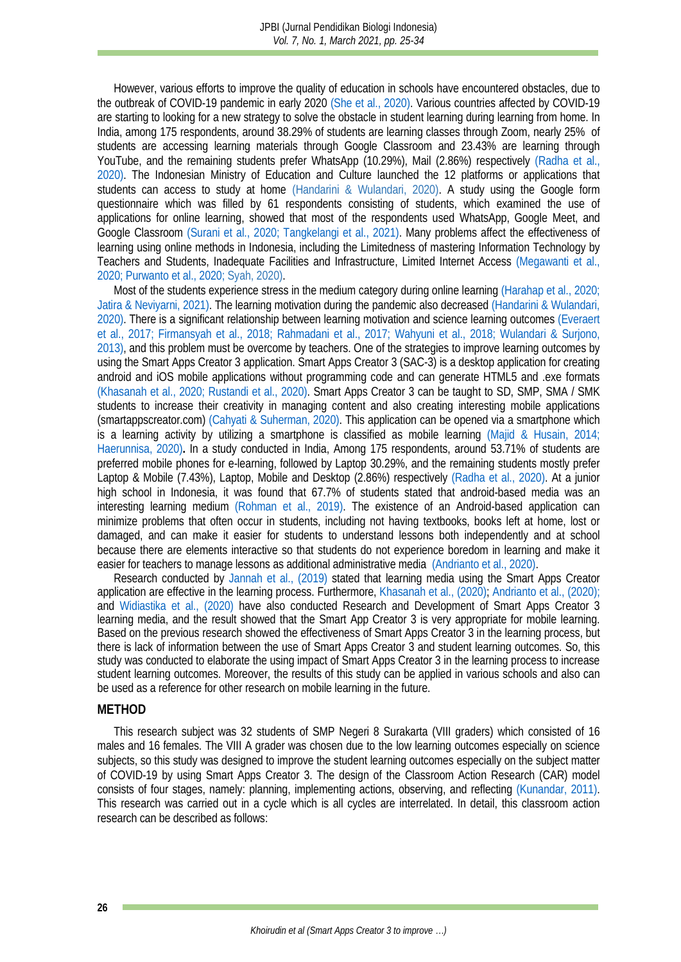However, various efforts to improve the quality of education in schools have encountered obstacles, due to the outbreak of COVID-19 pandemic in early 2020 [\(She et al., 2020\).](#page-9-0) Various countries affected by COVID-19 are starting to looking for a new strategy to solve the obstacle in student learning during learning from home. In India, among 175 respondents, around 38.29% of students are learning classes through Zoom, nearly 25% of students are accessing learning materials through Google Classroom and 23.43% are learning through YouTube, and the remaining students prefer WhatsApp (10.29%), Mail (2.86%) respectively (Radha et al., 2020). The Indonesian Ministry of Education and Culture launched the 12 platforms or applications that students can access to study at home (Handarini & Wulandari, 2020). A study using the Google form questionnaire which was filled by 61 respondents consisting of students, which examined the use of applications for online learning, showed that most of the respondents used WhatsApp, Google Meet, and Google Classroom [\(Surani et al., 2020](#page-9-2)[; Tangkelangi et al., 2021\).](#page-9-3) Many problems affect the effectiveness of learning using online methods in Indonesia, including the Limitedness of mastering Information Technology by Teachers and Students, Inadequate Facilities and Infrastructure, Limited Internet Access [\(Megawanti et al.,](#page-8-1)  [2020;](#page-8-1) [Purwanto et al., 2020;](#page-8-2) Syah, 2020).

Most of the students experience stress in the medium category during online learning [\(Harahap et al., 2020;](#page-8-3) [Jatira & Neviyarni, 2021\).](#page-8-4) The learning motivation during the pandemic also decreased [\(Handarini & Wulandari,](#page-8-5)  2020). There is a significant relationship between learning motivation and science learning outcomes [\(Everaert](#page-7-0)  [et al., 2017;](#page-7-0) [Firmansyah et al., 2018;](#page-7-1) [Rahmadani et al., 2017;](#page-9-4) [Wahyuni et al., 2018;](#page-9-5) [Wulandari & Surjono,](#page-9-6)  [2013\),](#page-9-6) and this problem must be overcome by teachers. One of the strategies to improve learning outcomes by using the Smart Apps Creator 3 application. Smart Apps Creator 3 (SAC-3) is a desktop application for creating android and iOS mobile applications without programming code and can generate HTML5 and .exe formats [\(Khasanah et al., 2020;](#page-8-6) [Rustandi et al., 2020\).](#page-9-7) Smart Apps Creator 3 can be taught to SD, SMP, SMA / SMK students to increase their creativity in managing content and also creating interesting mobile applications (smartappscreator.com) [\(Cahyati & Suherman, 2020\).](#page-7-2) This application can be opened via a smartphone which is a learning activity by utilizing a smartphone is classified as mobile learning [\(Majid & Husain, 2014;](#page-8-7) [Haerunnisa, 2020\)](#page-8-8)**.** In a study conducted in India, Among 175 respondents, around 53.71% of students are preferred mobile phones for e-learning, followed by Laptop 30.29%, and the remaining students mostly prefer Laptop & Mobile (7.43%), Laptop, Mobile and Desktop (2.86%) respectively [\(Radha et al., 2020\).](#page-9-1) At a junior high school in Indonesia, it was found that 67.7% of students stated that android-based media was an interesting learning medium [\(Rohman et al., 2019\).](#page-9-8) The existence of an Android-based application can minimize problems that often occur in students, including not having textbooks, books left at home, lost or damaged, and can make it easier for students to understand lessons both independently and at school because there are elements interactive so that students do not experience boredom in learning and make it easier for teachers to manage lessons as additional administrative media [\(Andrianto et al., 2020\).](#page-7-3)

Research conducted by [Jannah et al., \(2019\)](#page-8-9) stated that learning media using the Smart Apps Creator application are effective in the learning process. Furthermore, [Khasanah et](#page-8-6) al., (2020); [Andrianto et al., \(2020\);](#page-7-3) and [Widiastika et al., \(2020\)](#page-9-9) have also conducted Research and Development of Smart Apps Creator 3 learning media, and the result showed that the Smart App Creator 3 is very appropriate for mobile learning. Based on the previous research showed the effectiveness of Smart Apps Creator 3 in the learning process, but there is lack of information between the use of Smart Apps Creator 3 and student learning outcomes. So, this study was conducted to elaborate the using impact of Smart Apps Creator 3 in the learning process to increase student learning outcomes. Moreover, the results of this study can be applied in various schools and also can be used as a reference for other research on mobile learning in the future.

#### **METHOD**

This research subject was 32 students of SMP Negeri 8 Surakarta (VIII graders) which consisted of 16 males and 16 females. The VIII A grader was chosen due to the low learning outcomes especially on science subjects, so this study was designed to improve the student learning outcomes especially on the subject matter of COVID-19 by using Smart Apps Creator 3. The design of the Classroom Action Research (CAR) model consists of four stages, namely: planning, implementing actions, observing, and reflecting [\(Kunandar, 2011\).](#page-8-10) This research was carried out in a cycle which is all cycles are interrelated. In detail, this classroom action research can be described as follows: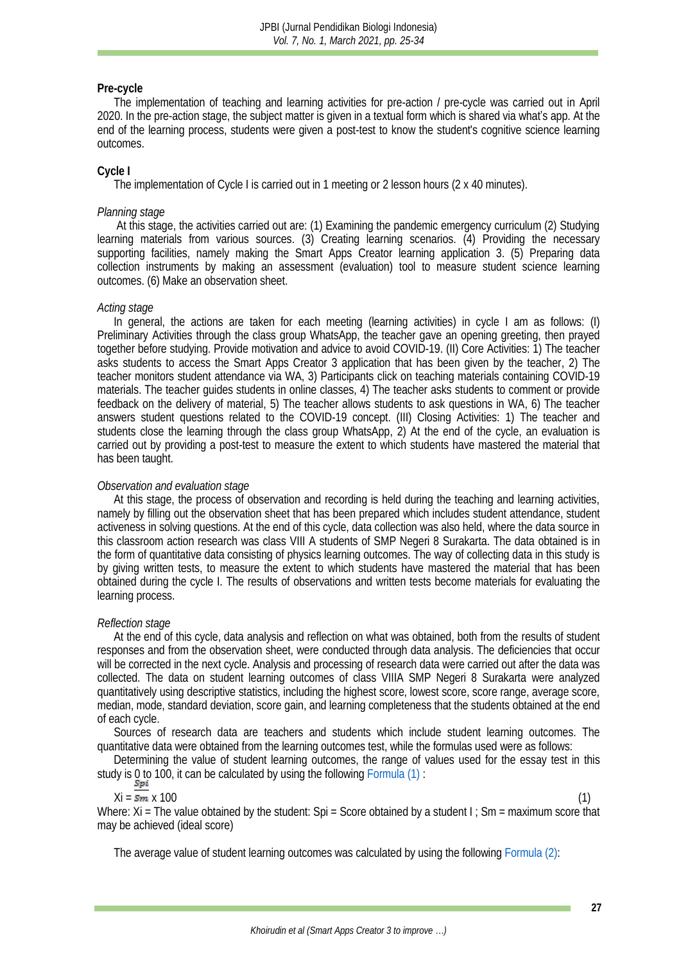#### **Pre-cycle**

The implementation of teaching and learning activities for pre-action / pre-cycle was carried out in April 2020. In the pre-action stage, the subject matter is given in a textual form which is shared via what's app. At the end of the learning process, students were given a post-test to know the student's cognitive science learning outcomes.

#### **Cycle I**

The implementation of Cycle I is carried out in 1 meeting or 2 lesson hours (2 x 40 minutes).

#### *Planning stage*

At this stage, the activities carried out are: (1) Examining the pandemic emergency curriculum (2) Studying learning materials from various sources. (3) Creating learning scenarios. (4) Providing the necessary supporting facilities, namely making the Smart Apps Creator learning application 3. (5) Preparing data collection instruments by making an assessment (evaluation) tool to measure student science learning outcomes. (6) Make an observation sheet.

### *Acting stage*

In general, the actions are taken for each meeting (learning activities) in cycle I am as follows: (I) Preliminary Activities through the class group WhatsApp, the teacher gave an opening greeting, then prayed together before studying. Provide motivation and advice to avoid COVID-19. (II) Core Activities: 1) The teacher asks students to access the Smart Apps Creator 3 application that has been given by the teacher, 2) The teacher monitors student attendance via WA, 3) Participants click on teaching materials containing COVID-19 materials. The teacher guides students in online classes, 4) The teacher asks students to comment or provide feedback on the delivery of material, 5) The teacher allows students to ask questions in WA, 6) The teacher answers student questions related to the COVID-19 concept. (III) Closing Activities: 1) The teacher and students close the learning through the class group WhatsApp, 2) At the end of the cycle, an evaluation is carried out by providing a post-test to measure the extent to which students have mastered the material that has been taught.

#### *Observation and evaluation stage*

At this stage, the process of observation and recording is held during the teaching and learning activities, namely by filling out the observation sheet that has been prepared which includes student attendance, student activeness in solving questions. At the end of this cycle, data collection was also held, where the data source in this classroom action research was class VIII A students of SMP Negeri 8 Surakarta. The data obtained is in the form of quantitative data consisting of physics learning outcomes. The way of collecting data in this study is by giving written tests, to measure the extent to which students have mastered the material that has been obtained during the cycle I. The results of observations and written tests become materials for evaluating the learning process.

#### *Reflection stage*

At the end of this cycle, data analysis and reflection on what was obtained, both from the results of student responses and from the observation sheet, were conducted through data analysis. The deficiencies that occur will be corrected in the next cycle. Analysis and processing of research data were carried out after the data was collected. The data on student learning outcomes of class VIIIA SMP Negeri 8 Surakarta were analyzed quantitatively using descriptive statistics, including the highest score, lowest score, score range, average score, median, mode, standard deviation, score gain, and learning completeness that the students obtained at the end of each cycle.

Sources of research data are teachers and students which include student learning outcomes. The quantitative data were obtained from the learning outcomes test, while the formulas used were as follows:

Determining the value of student learning outcomes, the range of values used for the essay test in this study is 0 to 100, it can be calculated by using the following [Formula](#page-2-0) (1) :<br> $Spi$ 

#### <span id="page-2-0"></span> $Xi = sm \times 100$  (1)

Where: Xi = The value obtained by the student: Spi = Score obtained by a student I ; Sm = maximum score that may be achieved (ideal score)

The average value of student learning outcomes was calculated by using the followin[g Formula](#page-3-0) (2):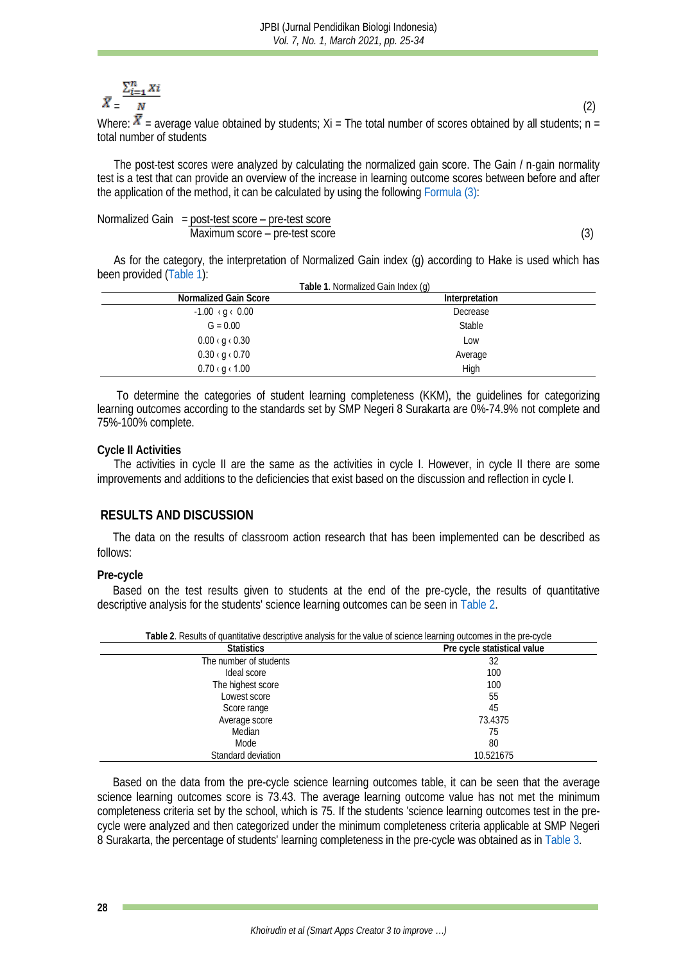# $\bar{X} = \frac{\sum_{i=1}^{n} X_i}{N}$  (2)

Where:  $X$  = average value obtained by students; Xi = The total number of scores obtained by all students; n = total number of students

The post-test scores were analyzed by calculating the normalized gain score. The Gain / n-gain normality test is a test that can provide an overview of the increase in learning outcome scores between before and after the application of the method, it can be calculated by using the followin[g Formula](#page-3-1) (3):

| Normalized Gain = $post-test score - pre-test score$ |  |
|------------------------------------------------------|--|
| Maximum score – pre-test score                       |  |

<span id="page-3-1"></span><span id="page-3-0"></span>

As for the category, the interpretation of Normalized Gain index (g) according to Hake is used which has been provided [\(Table 1\)](#page-3-2):

<span id="page-3-2"></span>

|                             | Table 1. Normalized Gain Index (g) |
|-----------------------------|------------------------------------|
| Normalized Gain Score       | Interpretation                     |
| $-1.00$ (g ( 0.00           | Decrease                           |
| $G = 0.00$                  | Stable                             |
| $0.00 \cdot g \cdot 0.30$   | Low                                |
| $0.30 \cdot g \cdot 0.70$   | Average                            |
| $0.70 \times g \times 1.00$ | High                               |

To determine the categories of student learning completeness (KKM), the guidelines for categorizing learning outcomes according to the standards set by SMP Negeri 8 Surakarta are 0%-74.9% not complete and 75%-100% complete.

#### **Cycle II Activities**

The activities in cycle II are the same as the activities in cycle I. However, in cycle II there are some improvements and additions to the deficiencies that exist based on the discussion and reflection in cycle I.

#### **RESULTS AND DISCUSSION**

The data on the results of classroom action research that has been implemented can be described as follows:

#### **Pre-cycle**

Based on the test results given to students at the end of the pre-cycle, the results of quantitative descriptive analysis for the students' science learning outcomes can be seen i[n Table](#page-3-3) 2.

<span id="page-3-3"></span>

| Table 2. Hobaild or quantitality acomptive analysis for the value or suched fearing outcomes in the pre-eyerc |                             |  |
|---------------------------------------------------------------------------------------------------------------|-----------------------------|--|
| <b>Statistics</b>                                                                                             | Pre cycle statistical value |  |
| The number of students                                                                                        | 32                          |  |
| Ideal score                                                                                                   | 100                         |  |
| The highest score                                                                                             | 100                         |  |
| Lowest score                                                                                                  | 55                          |  |
| Score range                                                                                                   | 45                          |  |
| Average score                                                                                                 | 73.4375                     |  |
| Median                                                                                                        | 75                          |  |
| Mode                                                                                                          | 80                          |  |
| Standard deviation                                                                                            | 10.521675                   |  |

**Table 2**. Results of quantitative descriptive analysis for the value of science learning outcomes in the pre-cycle

<span id="page-3-4"></span>Based on the data from the pre-cycle science learning outcomes table, it can be seen that the average science learning outcomes score is 73.43. The average learning outcome value has not met the minimum completeness criteria set by the school, which is 75. If the students 'science learning outcomes test in the precycle were analyzed and then categorized under the minimum completeness criteria applicable at SMP Negeri 8 Surakarta, the percentage of students' learning completeness in the pre-cycle was obtained as i[n Table](#page-3-4) 3.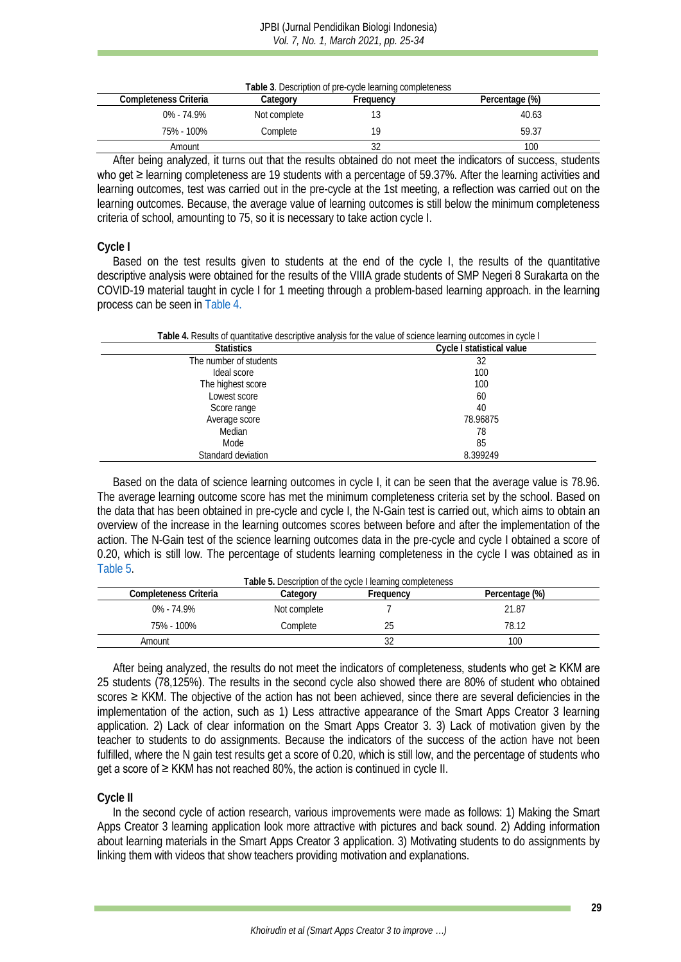#### JPBI (Jurnal Pendidikan Biologi Indonesia) *Vol. 7, No. 1, March 2021, pp. 25-34*

| Table 3. Description of pre-cycle learning completeness |              |           |                |
|---------------------------------------------------------|--------------|-----------|----------------|
| Completeness Criteria                                   | Categorv     | Frequency | Percentage (%) |
| በ% - 74 ዓ%                                              | Not complete |           | 40.63          |
| 75% - 100%                                              | Complete     | ΙQ        | 59.37          |
| Amount                                                  |              |           | 100            |

After being analyzed, it turns out that the results obtained do not meet the indicators of success, students who get ≥ learning completeness are 19 students with a percentage of 59.37%. After the learning activities and learning outcomes, test was carried out in the pre-cycle at the 1st meeting, a reflection was carried out on the learning outcomes. Because, the average value of learning outcomes is still below the minimum completeness criteria of school, amounting to 75, so it is necessary to take action cycle I.

#### **Cycle I**

Based on the test results given to students at the end of the cycle I, the results of the quantitative descriptive analysis were obtained for the results of the VIIIA grade students of SMP Negeri 8 Surakarta on the COVID-19 material taught in cycle I for 1 meeting through a problem-based learning approach. in the learning process can be seen in [Table](#page-4-0) 4.

**Table 4.** Results of quantitative descriptive analysis for the value of science learning outcomes in cycle I

<span id="page-4-0"></span>

| <b>Statistics</b>      | Cycle I statistical value |
|------------------------|---------------------------|
| The number of students | 32                        |
| Ideal score            | 100                       |
| The highest score      | 100                       |
| Lowest score           | 60                        |
| Score range            | 40                        |
| Average score          | 78.96875                  |
| Median                 | 78                        |
| Mode                   | 85                        |
| Standard deviation     | 8.399249                  |

Based on the data of science learning outcomes in cycle I, it can be seen that the average value is 78.96. The average learning outcome score has met the minimum completeness criteria set by the school. Based on the data that has been obtained in pre-cycle and cycle I, the N-Gain test is carried out, which aims to obtain an overview of the increase in the learning outcomes scores between before and after the implementation of the action. The N-Gain test of the science learning outcomes data in the pre-cycle and cycle I obtained a score of 0.20, which is still low. The percentage of students learning completeness in the cycle I was obtained as in [Table](#page-4-1) 5.

<span id="page-4-1"></span>

| Completeness Criteria | Categorv     | Table 5. Description of the cycle I learning completeness<br>Frequency | Percentage (%) |  |
|-----------------------|--------------|------------------------------------------------------------------------|----------------|--|
| $0\% - 74.9\%$        | Not complete |                                                                        | 21.87          |  |
| 75% - 100%            | Complete     |                                                                        | 78.12          |  |
| Amount                |              |                                                                        | 10C            |  |

After being analyzed, the results do not meet the indicators of completeness, students who get ≥ KKM are 25 students (78,125%). The results in the second cycle also showed there are 80% of student who obtained scores ≥ KKM. The objective of the action has not been achieved, since there are several deficiencies in the implementation of the action, such as 1) Less attractive appearance of the Smart Apps Creator 3 learning application. 2) Lack of clear information on the Smart Apps Creator 3. 3) Lack of motivation given by the teacher to students to do assignments. Because the indicators of the success of the action have not been fulfilled, where the N gain test results get a score of 0.20, which is still low, and the percentage of students who get a score of ≥ KKM has not reached 80%, the action is continued in cycle II.

#### **Cycle II**

In the second cycle of action research, various improvements were made as follows: 1) Making the Smart Apps Creator 3 learning application look more attractive with pictures and back sound. 2) Adding information about learning materials in the Smart Apps Creator 3 application. 3) Motivating students to do assignments by linking them with videos that show teachers providing motivation and explanations.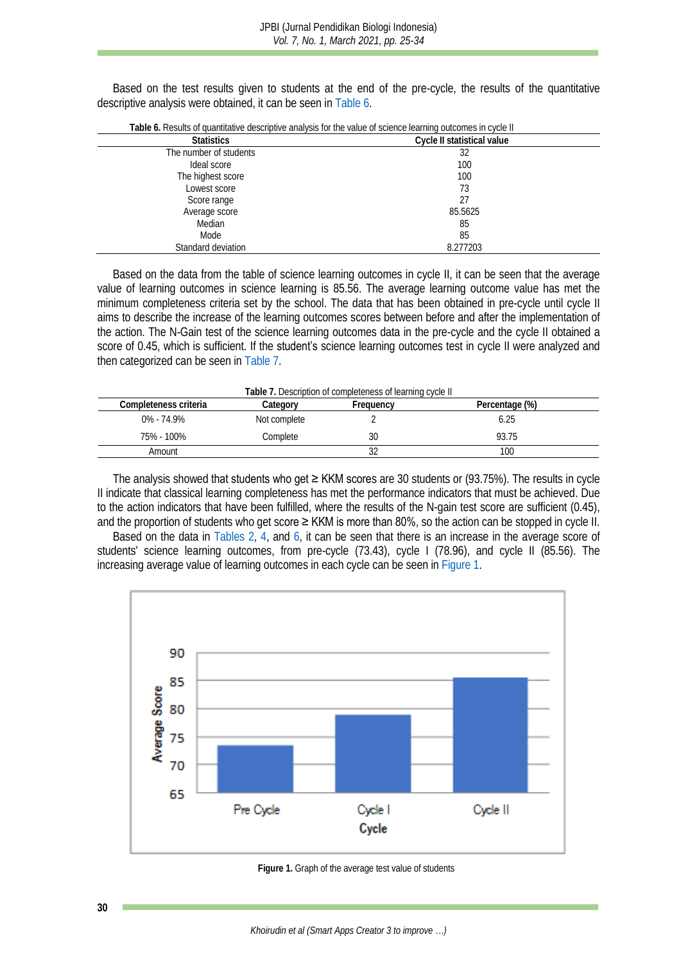Based on the test results given to students at the end of the pre-cycle, the results of the quantitative descriptive analysis were obtained, it can be seen in [Table](#page-5-0) 6.

<span id="page-5-0"></span>

| l able 6. Results of quantitative descriptive analysis for the value of science learning outcomes in cycle II |                            |  |  |
|---------------------------------------------------------------------------------------------------------------|----------------------------|--|--|
| <b>Statistics</b>                                                                                             | Cycle II statistical value |  |  |
| The number of students                                                                                        | 32                         |  |  |
| Ideal score                                                                                                   | 100                        |  |  |
| The highest score                                                                                             | 100                        |  |  |
| Lowest score                                                                                                  | 73                         |  |  |
| Score range                                                                                                   | 27                         |  |  |
| Average score                                                                                                 | 85.5625                    |  |  |
| Median                                                                                                        | 85                         |  |  |
| Mode                                                                                                          | 85                         |  |  |
| Standard deviation                                                                                            | 8.277203                   |  |  |

**Table 6.** Results of quantitative descriptive analysis for the value of science learning outcomes in cycle II

Based on the data from the table of science learning outcomes in cycle II, it can be seen that the average value of learning outcomes in science learning is 85.56. The average learning outcome value has met the minimum completeness criteria set by the school. The data that has been obtained in pre-cycle until cycle II aims to describe the increase of the learning outcomes scores between before and after the implementation of the action. The N-Gain test of the science learning outcomes data in the pre-cycle and the cycle II obtained a score of 0.45, which is sufficient. If the **student's** science learning outcomes test in cycle II were analyzed and then categorized can be seen in [Table](#page-5-1) 7.

<span id="page-5-1"></span>

| Table 7. Description of completeness of learning cycle II |              |           |                |
|-----------------------------------------------------------|--------------|-----------|----------------|
| Completeness criteria                                     | Category     | Frequency | Percentage (%) |
| $0\% - 74.9\%$                                            | Not complete |           | 6.25           |
| 75% - 100%                                                | Complete     |           | 93 75          |
| Amount                                                    |              |           | 100            |

The analysis showed **that students who get ≥ KKM score**s are 30 students or (93.75%). The results in cycle II indicate that classical learning completeness has met the performance indicators that must be achieved. Due to the action indicators that have been fulfilled, where the results of the N-gain test score are sufficient (0.45), and the proportion of students who get score ≥ KKM is more than 80%, so the action can be stopped in cycle II.

Based on the data in [Tables 2, 4,](#page-3-3) and [6,](#page-5-0) it can be seen that there is an increase in the average score of students' science learning outcomes, from pre-cycle (73.43), cycle I (78.96), and cycle II (85.56). The increasing average value of learning outcomes in each cycle can be seen in [Figure 1.](#page-5-2)



<span id="page-5-2"></span>**Figure 1.** Graph of the average test value of students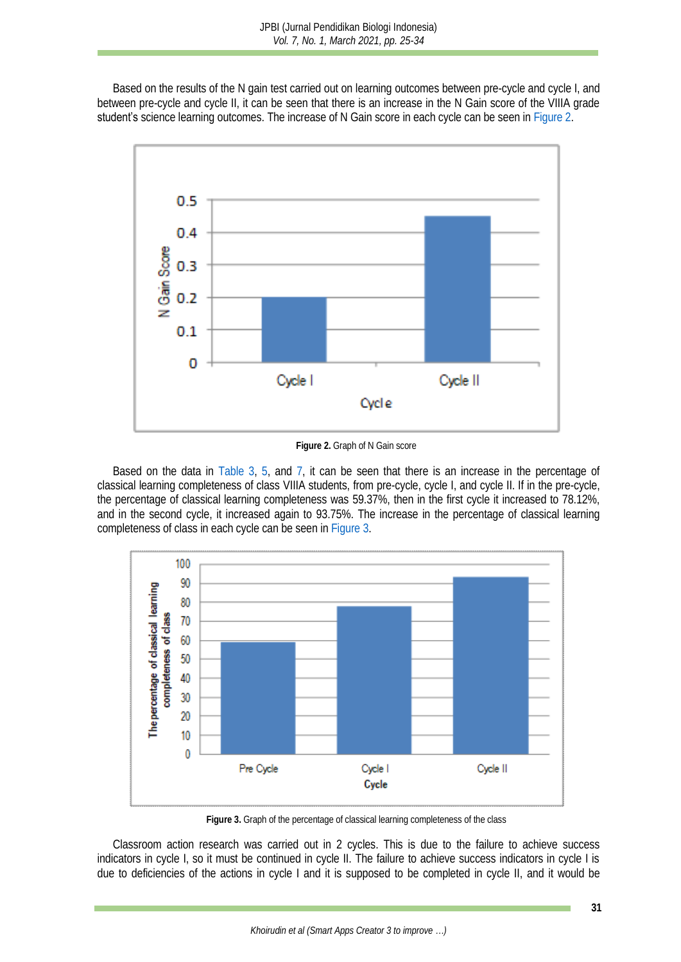Based on the results of the N gain test carried out on learning outcomes between pre-cycle and cycle I, and between pre-cycle and cycle II, it can be seen that there is an increase in the N Gain score of the VIIIA grade student's science learning outcomes. The increase of N Gain score in each cycle can be seen i[n Figure](#page-6-0) 2.



**Figure 2.** Graph of N Gain score

<span id="page-6-0"></span>Based on the data in [Table](#page-3-4) 3, [5,](#page-4-1) and [7,](#page-5-1) it can be seen that there is an increase in the percentage of classical learning completeness of class VIIIA students, from pre-cycle, cycle I, and cycle II. If in the pre-cycle, the percentage of classical learning completeness was 59.37%, then in the first cycle it increased to 78.12%, and in the second cycle, it increased again to 93.75%. The increase in the percentage of classical learning completeness of class in each cycle can be seen i[n Figure 3.](#page-6-1)



**Figure 3.** Graph of the percentage of classical learning completeness of the class

<span id="page-6-1"></span>Classroom action research was carried out in 2 cycles. This is due to the failure to achieve success indicators in cycle I, so it must be continued in cycle II. The failure to achieve success indicators in cycle I is due to deficiencies of the actions in cycle I and it is supposed to be completed in cycle II, and it would be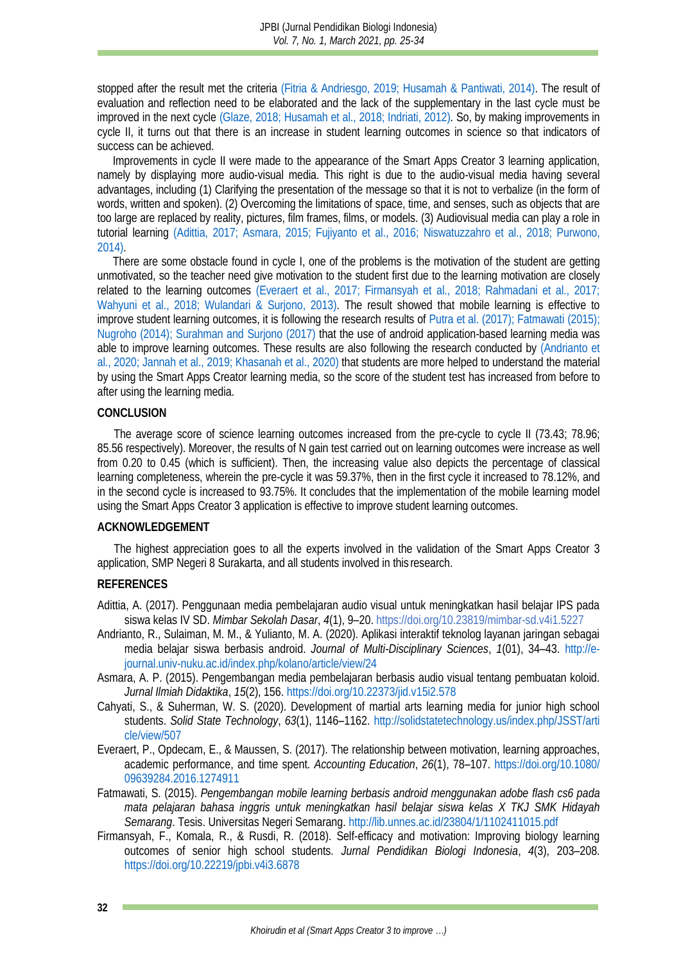stopped after the result met the criteria [\(Fitria & Andriesgo, 2019](#page-8-11)[; Husamah & Pantiwati, 2014\).](#page-8-12) The result of evaluation and reflection need to be elaborated and the lack of the supplementary in the last cycle must be improved in the next cycle [\(Glaze, 2018;](#page-8-13) [Husamah et al., 2018;](#page-8-12) [Indriati, 2012\).](#page-8-0) So, by making improvements in cycle II, it turns out that there is an increase in student learning outcomes in science so that indicators of success can be achieved.

Improvements in cycle II were made to the appearance of the Smart Apps Creator 3 learning application, namely by displaying more audio-visual media. This right is due to the audio-visual media having several advantages, including (1) Clarifying the presentation of the message so that it is not to verbalize (in the form of words, written and spoken). (2) Overcoming the limitations of space, time, and senses, such as objects that are too large are replaced by reality, pictures, film frames, films, or models. (3) Audiovisual media can play a role in tutorial learning [\(Adittia, 2017;](#page-7-4) [Asmara, 2015;](#page-7-5) [Fujiyanto et al., 2016;](#page-8-14) [Niswatuzzahro et al., 2018;](#page-8-15) [Purwono,](#page-9-10)  [2014\).](#page-9-10)

There are some obstacle found in cycle I, one of the problems is the motivation of the student are getting unmotivated, so the teacher need give motivation to the student first due to the learning motivation are closely related to the learning outcomes [\(Everaert et al., 2017;](#page-7-0) [Firmansyah et al.,](#page-7-1) 2018; [Rahmadani et al., 2017;](#page-9-4) [Wahyuni et al., 2018;](#page-9-5) [Wulandari & Surjono, 2013\).](#page-9-6) The result showed that mobile learning is effective to improve student learning outcomes, it is following the research results of [Putra et al.](#page-9-11) (2017); [Fatmawati](#page-7-6) (2015); [Nugroho](#page-8-16) (2014); [Surahman](#page-9-12) and Surjono (2017) that the use of android application-based learning media was able to improve learning outcomes. These results are also following the research conducted by [\(Andrianto et](#page-7-3)  [al., 2020;](#page-7-3) [Jannah et al., 2019;](#page-8-9) [Khasanah et al., 2020\)](#page-8-6) that students are more helped to understand the material by using the Smart Apps Creator learning media, so the score of the student test has increased from before to after using the learning media.

#### **CONCLUSION**

The average score of science learning outcomes increased from the pre-cycle to cycle II (73.43; 78.96; 85.56 respectively). Moreover, the results of N gain test carried out on learning outcomes were increase as well from 0.20 to 0.45 (which is sufficient). Then, the increasing value also depicts the percentage of classical learning completeness, wherein the pre-cycle it was 59.37%, then in the first cycle it increased to 78.12%, and in the second cycle is increased to 93.75%. It concludes that the implementation of the mobile learning model using the Smart Apps Creator 3 application is effective to improve student learning outcomes.

#### **ACKNOWLEDGEMENT**

The highest appreciation goes to all the experts involved in the validation of the Smart Apps Creator 3 application, SMP Negeri 8 Surakarta, and all students involved in this research.

#### **REFERENCES**

- <span id="page-7-4"></span>Adittia, A. (2017). Penggunaan media pembelajaran audio visual untuk meningkatkan hasil belajar IPS pada siswa kelas IV SD. *Mimbar Sekolah Dasar*, *4*(1), 9–20. <https://doi.org/10.23819/mimbar-sd.v4i1.5227>
- <span id="page-7-3"></span>Andrianto, R., Sulaiman, M. M., & Yulianto, M. A. (2020). Aplikasi interaktif teknolog layanan jaringan sebagai media belajar siswa berbasis android. *Journal of Multi-Disciplinary Sciences*, *1*(01), 34–43. [http://e](http://e-journal.univ-nuku.ac.id/index.php/kolano/article/view/24)[journal.univ-nuku.ac.id/index.php/kolano/article/view/24](http://e-journal.univ-nuku.ac.id/index.php/kolano/article/view/24)
- <span id="page-7-5"></span>Asmara, A. P. (2015). Pengembangan media pembelajaran berbasis audio visual tentang pembuatan koloid. *Jurnal Ilmiah Didaktika*, *15*(2), 156[. https://doi.org/10.22373/jid.v15i2.578](https://doi.org/10.22373/jid.v15i2.578)
- <span id="page-7-2"></span>Cahyati, S., & Suherman, W. S. (2020). Development of martial arts learning media for junior high school students. *Solid State Technology*, *63*(1), 1146–1162. [http://solidstatetechnology.us/index.php/JSST/arti](http://solidstatetechnology.us/index.php/JSST/article/view/507) [cle/view/507](http://solidstatetechnology.us/index.php/JSST/article/view/507)
- <span id="page-7-0"></span>Everaert, P., Opdecam, E., & Maussen, S. (2017). The relationship between motivation, learning approaches, academic performance, and time spent. *Accounting Education*, *26*(1), 78–107. [https://doi.org/10.1080/](https://doi.org/10.1080/09639284.2016.1274911) [09639284.2016.1274911](https://doi.org/10.1080/09639284.2016.1274911)
- <span id="page-7-6"></span>Fatmawati, S. (2015). *Pengembangan mobile learning berbasis android menggunakan adobe flash cs6 pada mata pelajaran bahasa inggris untuk meningkatkan hasil belajar siswa kelas X TKJ SMK Hidayah Semarang*. Tesis. Universitas Negeri Semarang. <http://lib.unnes.ac.id/23804/1/1102411015.pdf>
- <span id="page-7-1"></span>Firmansyah, F., Komala, R., & Rusdi, R. (2018). Self-efficacy and motivation: Improving biology learning outcomes of senior high school students. *Jurnal Pendidikan Biologi Indonesia*, *4*(3), 203–208. <https://doi.org/10.22219/jpbi.v4i3.6878>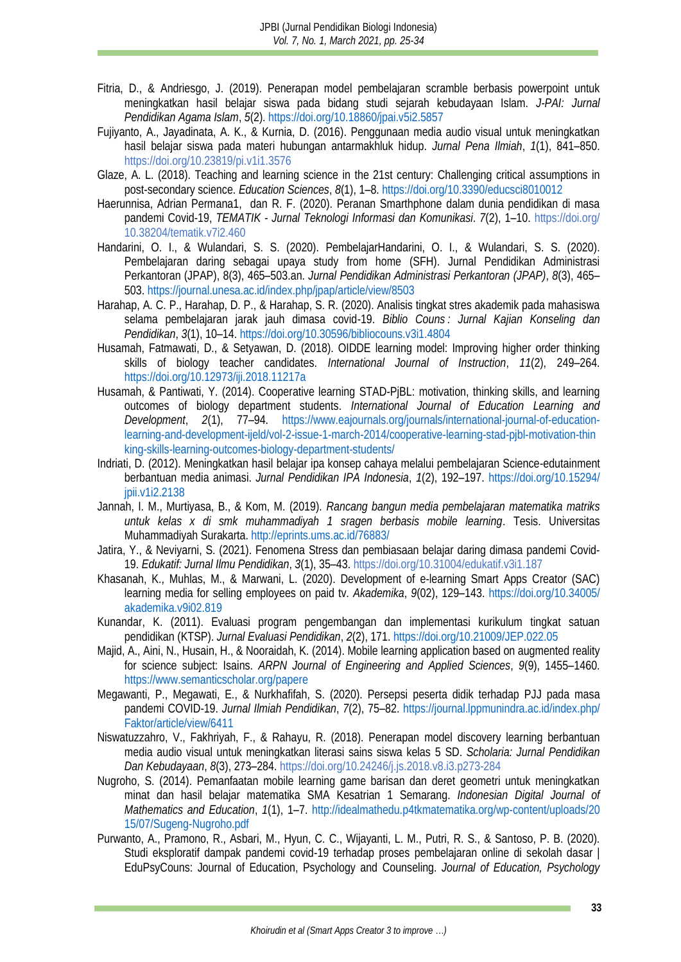- <span id="page-8-11"></span>Fitria, D., & Andriesgo, J. (2019). Penerapan model pembelajaran scramble berbasis powerpoint untuk meningkatkan hasil belajar siswa pada bidang studi sejarah kebudayaan Islam. *J-PAI: Jurnal Pendidikan Agama Islam*, *5*(2)[. https://doi.org/10.18860/jpai.v5i2.5857](https://doi.org/10.18860/jpai.v5i2.5857)
- <span id="page-8-14"></span>Fujiyanto, A., Jayadinata, A. K., & Kurnia, D. (2016). Penggunaan media audio visual untuk meningkatkan hasil belajar siswa pada materi hubungan antarmakhluk hidup. *Jurnal Pena Ilmiah*, *1*(1), 841–850. <https://doi.org/10.23819/pi.v1i1.3576>
- <span id="page-8-13"></span>Glaze, A. L. (2018). Teaching and learning science in the 21st century: Challenging critical assumptions in post-secondary science. *Education Sciences*, *8*(1), 1–8.<https://doi.org/10.3390/educsci8010012>
- <span id="page-8-8"></span>Haerunnisa, Adrian Permana1, dan R. F. (2020). Peranan Smarthphone dalam dunia pendidikan di masa pandemi Covid-19, *TEMATIK - Jurnal Teknologi Informasi dan Komunikasi*. *7*(2), 1–10. https://doi.org/ 10.38204/tematik.v7i2.460
- <span id="page-8-5"></span>Handarini, O. I., & Wulandari, S. S. (2020). PembelajarHandarini, O. I., & Wulandari, S. S. (2020). Pembelajaran daring sebagai upaya study from home (SFH). Jurnal Pendidikan Administrasi Perkantoran (JPAP), 8(3), 465–503.an. *Jurnal Pendidikan Administrasi Perkantoran (JPAP)*, *8*(3), 465– 503. <https://journal.unesa.ac.id/index.php/jpap/article/view/8503>
- <span id="page-8-3"></span>Harahap, A. C. P., Harahap, D. P., & Harahap, S. R. (2020). Analisis tingkat stres akademik pada mahasiswa selama pembelajaran jarak jauh dimasa covid-19. *Biblio Couns : Jurnal Kajian Konseling dan Pendidikan*, *3*(1), 10–14[. https://doi.org/10.30596/bibliocouns.v3i1.4804](https://doi.org/10.30596/bibliocouns.v3i1.4804)
- <span id="page-8-12"></span>Husamah, Fatmawati, D., & Setyawan, D. (2018). OIDDE learning model: Improving higher order thinking skills of biology teacher candidates. *International Journal of Instruction*, *11*(2), 249–264. <https://doi.org/10.12973/iji.2018.11217a>
- Husamah, & Pantiwati, Y. (2014). Cooperative learning STAD-PjBL: motivation, thinking skills, and learning outcomes of biology department students. *International Journal of Education Learning and Development*, *2*(1), 77–94. [https://www.eajournals.org/journals/international-journal-of-education](https://www.eajournals.org/journals/international-journal-of-education-learning-and-development-ijeld/vol-2-issue-1-march-2014/cooperative-learning-stad-pjbl-motivation-thinking-skills-learning-outcomes-biology-department-students/)[learning-and-development-ijeld/vol-2-issue-1-march-2014/cooperative-learning-stad-pjbl-motivation-thin](https://www.eajournals.org/journals/international-journal-of-education-learning-and-development-ijeld/vol-2-issue-1-march-2014/cooperative-learning-stad-pjbl-motivation-thinking-skills-learning-outcomes-biology-department-students/) [king-skills-learning-outcomes-biology-department-students/](https://www.eajournals.org/journals/international-journal-of-education-learning-and-development-ijeld/vol-2-issue-1-march-2014/cooperative-learning-stad-pjbl-motivation-thinking-skills-learning-outcomes-biology-department-students/)
- <span id="page-8-0"></span>Indriati, D. (2012). Meningkatkan hasil belajar ipa konsep cahaya melalui pembelajaran Science-edutainment berbantuan media animasi. *Jurnal Pendidikan IPA Indonesia*, *1*(2), 192–197. [https://doi.org/10.15294/](https://doi.org/10.15294/jpii.v1i2.2138) [jpii.v1i2.2138](https://doi.org/10.15294/jpii.v1i2.2138)
- <span id="page-8-9"></span>Jannah, I. M., Murtiyasa, B., & Kom, M. (2019). *Rancang bangun media pembelajaran matematika matriks untuk kelas x di smk muhammadiyah 1 sragen berbasis mobile learning*. Tesis. Universitas Muhammadiyah Surakarta. <http://eprints.ums.ac.id/76883/>
- <span id="page-8-4"></span>Jatira, Y., & Neviyarni, S. (2021). Fenomena Stress dan pembiasaan belajar daring dimasa pandemi Covid-19. *Edukatif: Jurnal Ilmu Pendidikan*, *3*(1), 35–43. <https://doi.org/10.31004/edukatif.v3i1.187>
- <span id="page-8-6"></span>Khasanah, K., Muhlas, M., & Marwani, L. (2020). Development of e-learning Smart Apps Creator (SAC) learning media for selling employees on paid tv. *Akademika*, *9*(02), 129–143. [https://doi.org/10.34005/](https://doi.org/10.34005/akademika.v9i02.819) [akademika.v9i02.819](https://doi.org/10.34005/akademika.v9i02.819)
- <span id="page-8-10"></span>Kunandar, K. (2011). Evaluasi program pengembangan dan implementasi kurikulum tingkat satuan pendidikan (KTSP). *Jurnal Evaluasi Pendidikan*, *2*(2), 171.<https://doi.org/10.21009/JEP.022.05>
- <span id="page-8-7"></span>Majid, A., Aini, N., Husain, H., & Nooraidah, K. (2014). Mobile learning application based on augmented reality for science subject: Isains. *ARPN Journal of Engineering and Applied Sciences*, *9*(9), 1455–1460. [https://www.semanticscholar.org/papere](https://www.semanticscholar.org/paper/MOBILE-LEARNING-APPLICATION-BASED-ON-AUGMENTED-FOR-Majid-Husain/97cb68e8fd4988f3e7714afe0be079fa44b8f5fe)
- <span id="page-8-1"></span>Megawanti, P., Megawati, E., & Nurkhafifah, S. (2020). Persepsi peserta didik terhadap PJJ pada masa pandemi COVID-19. *Jurnal Ilmiah Pendidikan*, *7*(2), 75–82. [https://journal.lppmunindra.ac.id/index.php/](https://journal.lppmunindra.ac.id/index.php/Faktor/article/view/6411) [Faktor/article/view/6411](https://journal.lppmunindra.ac.id/index.php/Faktor/article/view/6411)
- <span id="page-8-15"></span>Niswatuzzahro, V., Fakhriyah, F., & Rahayu, R. (2018). Penerapan model discovery learning berbantuan media audio visual untuk meningkatkan literasi sains siswa kelas 5 SD. *Scholaria: Jurnal Pendidikan Dan Kebudayaan*, *8*(3), 273–284. <https://doi.org/10.24246/j.js.2018.v8.i3.p273-284>
- <span id="page-8-16"></span>Nugroho, S. (2014). Pemanfaatan mobile learning game barisan dan deret geometri untuk meningkatkan minat dan hasil belajar matematika SMA Kesatrian 1 Semarang. *Indonesian Digital Journal of Mathematics and Education*, *1*(1), 1–7. [http://idealmathedu.p4tkmatematika.org/wp-content/uploads/20](http://idealmathedu.p4tkmatematika.org/wp-content/uploads/2015/07/Sugeng-Nugroho.pdf) [15/07/Sugeng-Nugroho.pdf](http://idealmathedu.p4tkmatematika.org/wp-content/uploads/2015/07/Sugeng-Nugroho.pdf)
- <span id="page-8-2"></span>Purwanto, A., Pramono, R., Asbari, M., Hyun, C. C., Wijayanti, L. M., Putri, R. S., & Santoso, P. B. (2020). Studi eksploratif dampak pandemi covid-19 terhadap proses pembelajaran online di sekolah dasar | EduPsyCouns: Journal of Education, Psychology and Counseling. *Journal of Education, Psychology*